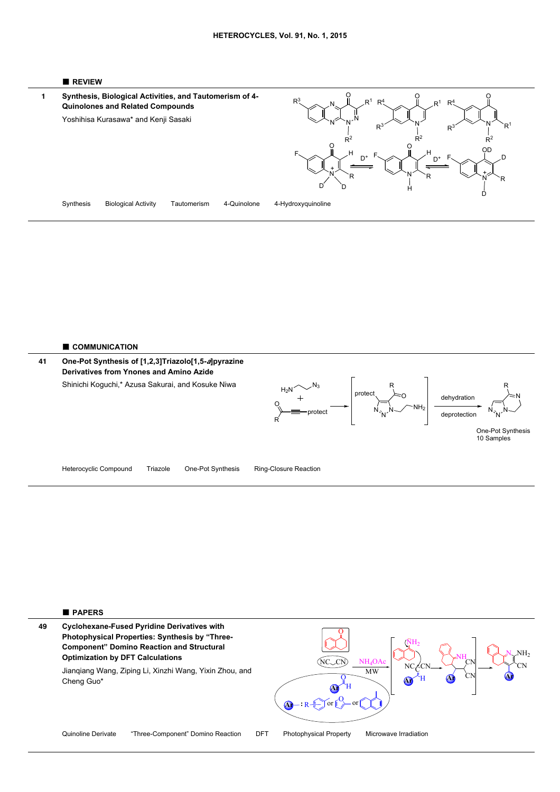





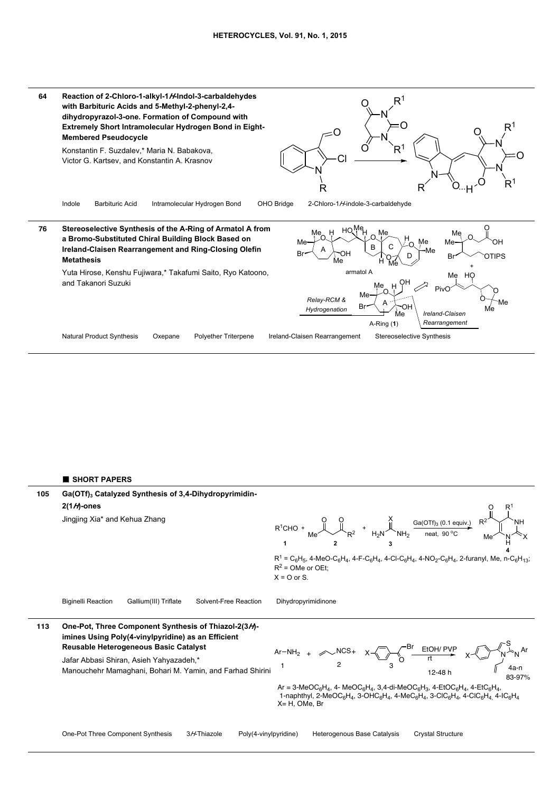

## ■ **SHORT PAPERS**

Ga(OTf)<sub>3</sub> Catalyzed Synthesis of 3,4-Dihydropyrimidin-**2(1***H***)-ones** Jingjing Xia\* and Kehua Zhang Biginelli Reaction Gallium(III) Triflate Solvent-Free Reaction Dihydropyrimidinone **105**  $H_2N^{\prime}$  NH<sub>2</sub> X  $Me^{\sim}$  R<sup>2</sup> O O  $Ga(OTf)_3$  (0.1 equiv.) neat, 90 °C  $R^1$ CHO + **1 2 3 4** N H  $R^2$   $\searrow$   $\searrow$  NH  $O$  R<sup>1</sup> Me^ `N´ `X  $R^1 = C_6H_5$ , 4-MeO-C<sub>6</sub>H<sub>4</sub>, 4-F-C<sub>6</sub>H<sub>4</sub>, 4-Cl-C<sub>6</sub>H<sub>4</sub>, 4-NO<sub>2</sub>-C<sub>6</sub>H<sub>4</sub>, 2-furanyl, Me, n-C<sub>6</sub>H<sub>13</sub>;  $R^2$  = OMe or OEt;  $X = O$  or S. **One-Pot, Three Component Synthesis of Thiazol-2(3***H***) imines Using Poly(4-vinylpyridine) as an Efficient Reusable Heterogeneous Basic Catalyst 113** Br S

Jafar Abbasi Shiran, Asieh Yahyazadeh,\*





 $Ar = 3-MeOC_6H_4$ , 4-  $MeOC_6H_4$ , 3,4-di-MeOC<sub>6</sub>H<sub>3</sub>, 4-EtOC<sub>6</sub>H<sub>4</sub>, 4-EtC<sub>6</sub>H<sub>4</sub> 1-naphthyl, 2-MeOC<sub>6</sub>H<sub>4</sub>, 3-OHC<sub>6</sub>H<sub>4</sub>, 4-MeC<sub>6</sub>H<sub>4</sub>, 3-ClC<sub>6</sub>H<sub>4</sub>, 4-ClC<sub>6</sub>H<sub>4</sub>, 4-IC<sub>6</sub>H<sub>4</sub> X= H, OMe, Br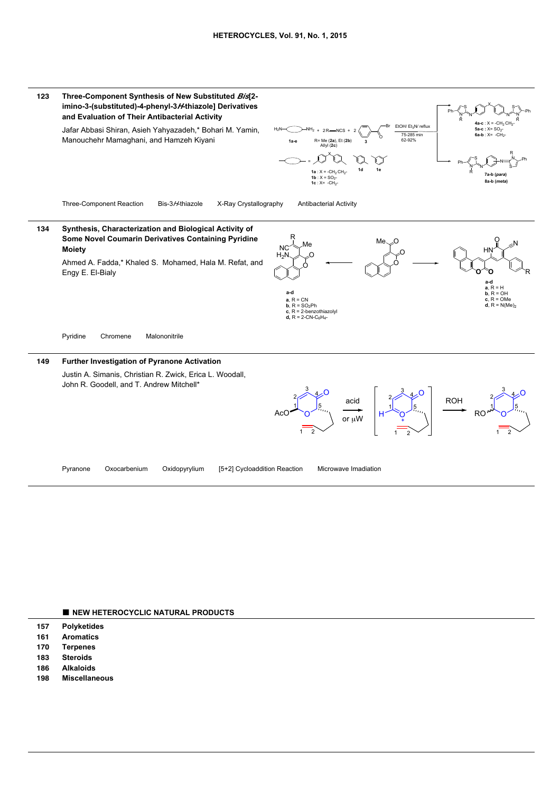

## ■ **NEW HETEROCYCLIC NATURAL PRODUCTS**

- **157 Polyketides**
- **161 Aromatics**
- **170 Terpenes**
- **183 Steroids**
- **186 Alkaloids**
- **198 Miscellaneous**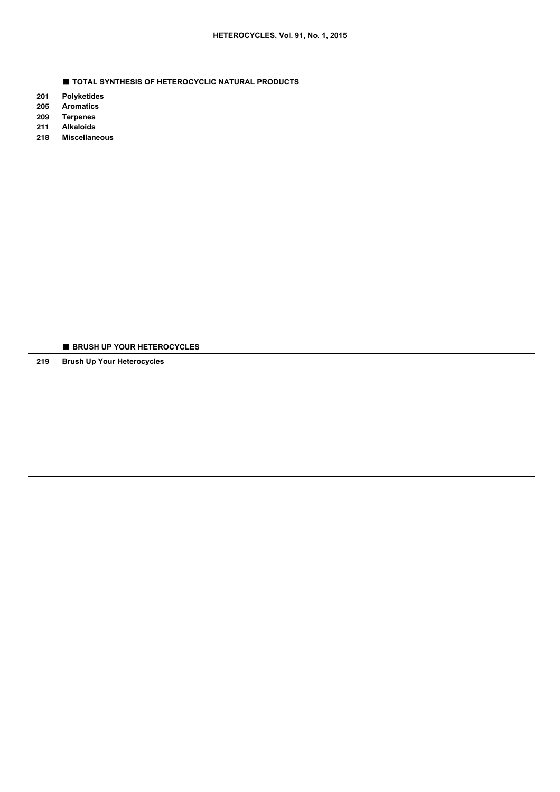- **TOTAL SYNTHESIS OF HETEROCYCLIC NATURAL PRODUCTS**
- **201 Polyketides**
- **205 Aromatics**
- **209 Terpenes Alkaloids**
- **211 218 Miscellaneous**

■ **BRUSH UP YOUR HETEROCYCLES**

**219 Brush Up Your Heterocycles**